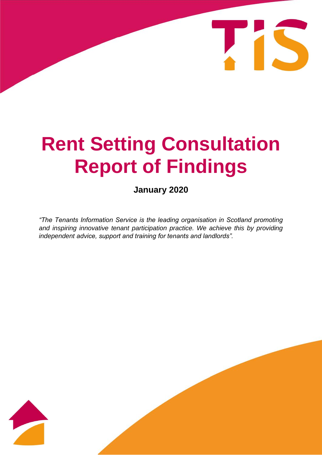# **Rent Setting Consultation Report of Findings**

IS

**January 2020**

*"The Tenants Information Service is the leading organisation in Scotland promoting*  and inspiring innovative tenant participation practice. We achieve this by providing *independent advice, support and training for tenants and landlords".*

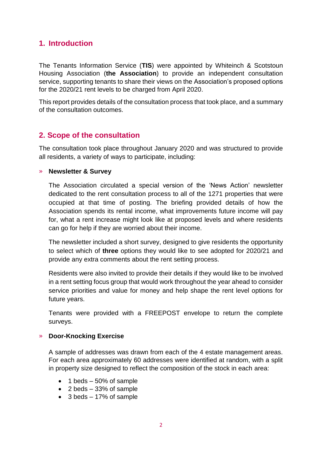## **1. Introduction**

The Tenants Information Service (**TIS**) were appointed by Whiteinch & Scotstoun Housing Association (**the Association**) to provide an independent consultation service, supporting tenants to share their views on the Association's proposed options for the 2020/21 rent levels to be charged from April 2020.

This report provides details of the consultation process that took place, and a summary of the consultation outcomes.

## **2. Scope of the consultation**

The consultation took place throughout January 2020 and was structured to provide all residents, a variety of ways to participate, including:

#### » **Newsletter & Survey**

The Association circulated a special version of the 'News Action' newsletter dedicated to the rent consultation process to all of the 1271 properties that were occupied at that time of posting. The briefing provided details of how the Association spends its rental income, what improvements future income will pay for, what a rent increase might look like at proposed levels and where residents can go for help if they are worried about their income.

The newsletter included a short survey, designed to give residents the opportunity to select which of **three** options they would like to see adopted for 2020/21 and provide any extra comments about the rent setting process.

Residents were also invited to provide their details if they would like to be involved in a rent setting focus group that would work throughout the year ahead to consider service priorities and value for money and help shape the rent level options for future years.

Tenants were provided with a FREEPOST envelope to return the complete surveys.

#### » **Door-Knocking Exercise**

A sample of addresses was drawn from each of the 4 estate management areas. For each area approximately 60 addresses were identified at random, with a split in property size designed to reflect the composition of the stock in each area:

- $\bullet$  1 beds 50% of sample
- $\bullet$  2 beds 33% of sample
- $\bullet$  3 beds 17% of sample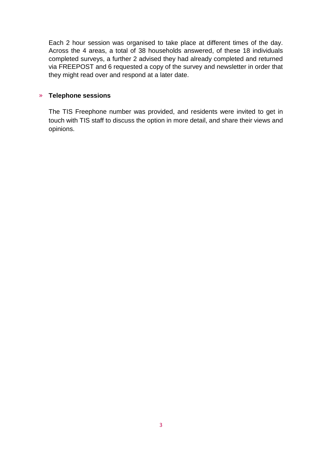Each 2 hour session was organised to take place at different times of the day. Across the 4 areas, a total of 38 households answered, of these 18 individuals completed surveys, a further 2 advised they had already completed and returned via FREEPOST and 6 requested a copy of the survey and newsletter in order that they might read over and respond at a later date.

#### » **Telephone sessions**

The TIS Freephone number was provided, and residents were invited to get in touch with TIS staff to discuss the option in more detail, and share their views and opinions.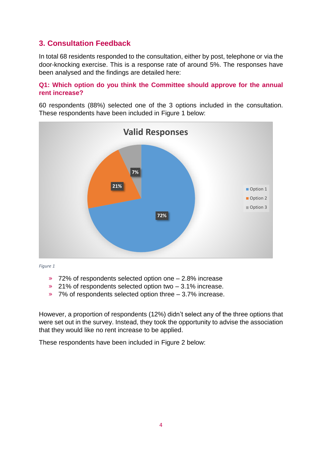## **3. Consultation Feedback**

In total 68 residents responded to the consultation, either by post, telephone or via the door-knocking exercise. This is a response rate of around 5%. The responses have been analysed and the findings are detailed here:

### **Q1: Which option do you think the Committee should approve for the annual rent increase?**

60 respondents (88%) selected one of the 3 options included in the consultation. These respondents have been included in Figure 1 below:



*Figure 1*

- » 72% of respondents selected option one 2.8% increase
- » 21% of respondents selected option two 3.1% increase.
- » 7% of respondents selected option three 3.7% increase.

However, a proportion of respondents (12%) didn't select any of the three options that were set out in the survey. Instead, they took the opportunity to advise the association that they would like no rent increase to be applied.

These respondents have been included in Figure 2 below: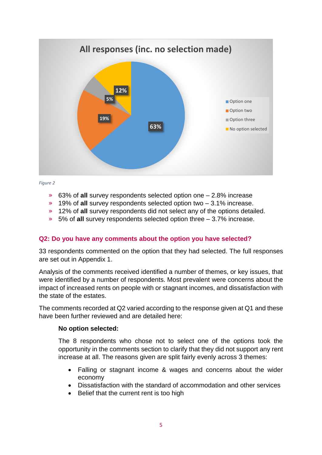

#### *Figure 2*

- » 63% of **all** survey respondents selected option one 2.8% increase
- » 19% of **all** survey respondents selected option two 3.1% increase.
- » 12% of **all** survey respondents did not select any of the options detailed.
- » 5% of **all** survey respondents selected option three 3.7% increase.

#### **Q2: Do you have any comments about the option you have selected?**

33 respondents commented on the option that they had selected. The full responses are set out in Appendix 1.

Analysis of the comments received identified a number of themes, or key issues, that were identified by a number of respondents. Most prevalent were concerns about the impact of increased rents on people with or stagnant incomes, and dissatisfaction with the state of the estates.

The comments recorded at Q2 varied according to the response given at Q1 and these have been further reviewed and are detailed here:

#### **No option selected:**

The 8 respondents who chose not to select one of the options took the opportunity in the comments section to clarify that they did not support any rent increase at all. The reasons given are split fairly evenly across 3 themes:

- Falling or stagnant income & wages and concerns about the wider economy
- Dissatisfaction with the standard of accommodation and other services
- Belief that the current rent is too high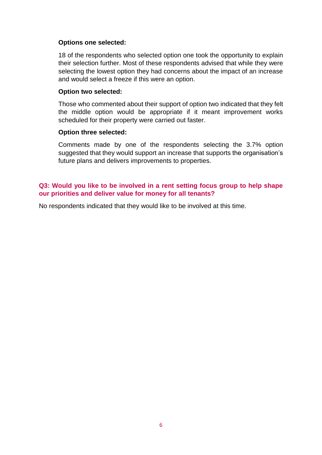#### **Options one selected:**

18 of the respondents who selected option one took the opportunity to explain their selection further. Most of these respondents advised that while they were selecting the lowest option they had concerns about the impact of an increase and would select a freeze if this were an option.

#### **Option two selected:**

Those who commented about their support of option two indicated that they felt the middle option would be appropriate if it meant improvement works scheduled for their property were carried out faster.

#### **Option three selected:**

Comments made by one of the respondents selecting the 3.7% option suggested that they would support an increase that supports the organisation's future plans and delivers improvements to properties.

### **Q3: Would you like to be involved in a rent setting focus group to help shape our priorities and deliver value for money for all tenants?**

No respondents indicated that they would like to be involved at this time.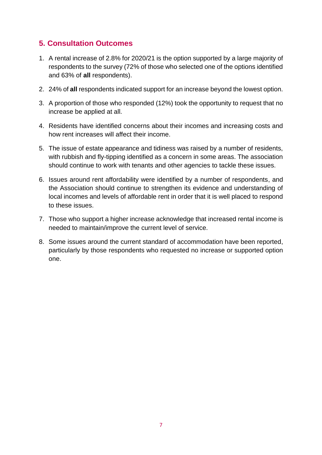## **5. Consultation Outcomes**

- 1. A rental increase of 2.8% for 2020/21 is the option supported by a large majority of respondents to the survey (72% of those who selected one of the options identified and 63% of **all** respondents).
- 2. 24% of **all** respondents indicated support for an increase beyond the lowest option.
- 3. A proportion of those who responded (12%) took the opportunity to request that no increase be applied at all.
- 4. Residents have identified concerns about their incomes and increasing costs and how rent increases will affect their income.
- 5. The issue of estate appearance and tidiness was raised by a number of residents, with rubbish and fly-tipping identified as a concern in some areas. The association should continue to work with tenants and other agencies to tackle these issues.
- 6. Issues around rent affordability were identified by a number of respondents, and the Association should continue to strengthen its evidence and understanding of local incomes and levels of affordable rent in order that it is well placed to respond to these issues.
- 7. Those who support a higher increase acknowledge that increased rental income is needed to maintain/improve the current level of service.
- 8. Some issues around the current standard of accommodation have been reported, particularly by those respondents who requested no increase or supported option one.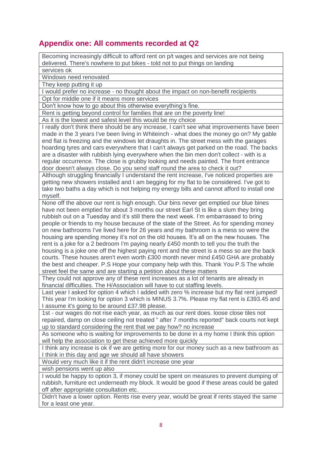## **Appendix one: All comments recorded at Q2**

Becoming increasingly difficult to afford rent on p/t wages and services are not being delivered. There's nowhere to put bikes - told not to put things on landing

services ok

Windows need renovated

They keep putting it up

I would prefer no increase - no thought about the impact on non-benefit recipients Opt for middle one if it means more services

Don't know how to go about this otherwise everything's fine.

Rent is getting beyond control for families that are on the poverty line!

As it is the lowest and safest level this would be my choice

I really don't think there should be any increase, I can't see what improvements have been made in the 3 years I've been living in Whiteinch - what does the money go on? My gable end flat is freezing and the windows let draughts in. The street mess with the garages hoarding tyres and cars everywhere that I can't always get parked on the road. The backs are a disaster with rubbish lying everywhere when the bin men don't collect - with is a regular occurrence. The close is grubby looking and needs painted. The front entrance door doesn't always close. Do you send staff round the area to check it out?

Although struggling financially I understand the rent increase, I've noticed properties are getting new showers installed and I am begging for my flat to be considered. I've got to take two baths a day which is not helping my energy bills and cannot afford to install one myself.

None off the above our rent is high enough. Our bins never get emptied our blue bines have not been emptied for about 3 months our street Earl St is like a slum they bring rubbish out on a Tuesday and it's still there the next week. I'm embarrassed to bring people or friends to my house because of the state of the Street. As for spending money on new bathrooms I've lived here for 26 years and my bathroom is a mess so were the housing are spending money it's not on the old houses. It's all on the new houses. The rent is a joke for a 2 bedroom I'm paying nearly £450 month to tell you the truth the housing is a joke one off the highest paying rent and the street is a mess so are the back courts. These houses aren't even worth £300 month never mind £450 GHA are probably the best and cheaper. P.S Hope your company help with this. Thank You P.S The whole street feel the same and are starting a petition about these matters

They could not approve any of these rent increases as a lot of tenants are already in financial difficulties. The H/Association will have to cut staffing levels.

Last year I asked for option 4 which I added with zero % increase but my flat rent jumped! This year I'm looking for option 3 which is MINUS 3.7%. Please my flat rent is £393.45 and I assume it's going to be around £37.98 please.

1st - our wages do not rise each year, as much as our rent does. loose close tiles not repaired, damp on close ceiling not treated " after 7 months reported" back courts not kept up to standard considering the rent that we pay how? no increase

As someone who is waiting for improvements to be done in a my home I think this option will help the association to get these achieved more quickly

I think any increase is ok if we are getting more for our money such as a new bathroom as I think in this day and age we should all have showers

Would very much like it if the rent didn't increase one year

wish pensions went up also

I would be happy to option 3, if money could be spent on measures to prevent dumping of rubbish, furniture ect underneath my block. It would be good if these areas could be gated off after appropriate consultation etc.

Didn't have a lower option. Rents rise every year, would be great if rents stayed the same for a least one year.